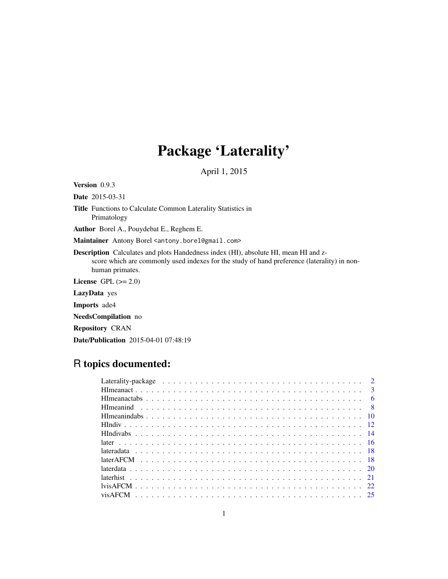## Package 'Laterality'

April 1, 2015

<span id="page-0-0"></span>Version 0.9.3

Date 2015-03-31

Title Functions to Calculate Common Laterality Statistics in Primatology

Author Borel A., Pouydebat E., Reghem E.

Maintainer Antony Borel <antony.borel@gmail.com>

Description Calculates and plots Handedness index (HI), absolute HI, mean HI and zscore which are commonly used indexes for the study of hand preference (laterality) in nonhuman primates.

License GPL  $(>= 2.0)$ 

LazyData yes

Imports ade4

NeedsCompilation no

Repository CRAN

Date/Publication 2015-04-01 07:48:19

### R topics documented:

| $\overline{3}$ |
|----------------|
|                |
|                |
|                |
|                |
|                |
|                |
|                |
|                |
|                |
|                |
|                |
|                |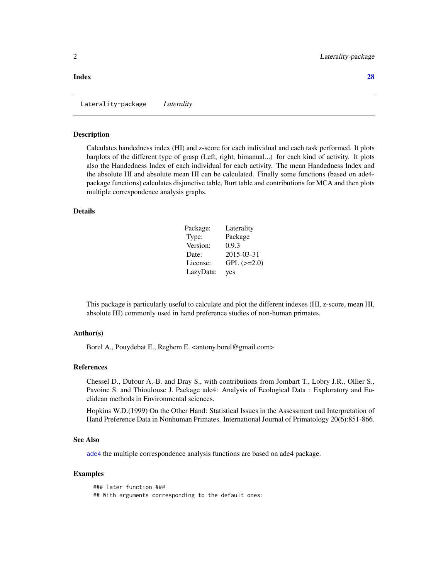#### <span id="page-1-0"></span>**Index** [28](#page-27-0) and 2012, the contract of the contract of the contract of the contract of the contract of the contract of the contract of the contract of the contract of the contract of the contract of the contract of the contr

Laterality-package *Laterality*

#### Description

Calculates handedness index (HI) and z-score for each individual and each task performed. It plots barplots of the different type of grasp (Left, right, bimanual...) for each kind of activity. It plots also the Handedness Index of each individual for each activity. The mean Handedness Index and the absolute HI and absolute mean HI can be calculated. Finally some functions (based on ade4 package functions) calculates disjunctive table, Burt table and contributions for MCA and then plots multiple correspondence analysis graphs.

#### Details

| Package:  | Laterality        |
|-----------|-------------------|
| Type:     | Package           |
| Version:  | 0.9.3             |
| Date:     | 2015-03-31        |
| License:  | $GPL$ ( $>=2.0$ ) |
| LazyData: | yes               |

This package is particularly useful to calculate and plot the different indexes (HI, z-score, mean HI, absolute HI) commonly used in hand preference studies of non-human primates.

#### Author(s)

Borel A., Pouydebat E., Reghem E. <antony.borel@gmail.com>

#### References

Chessel D., Dufour A.-B. and Dray S., with contributions from Jombart T., Lobry J.R., Ollier S., Pavoine S. and Thioulouse J. Package ade4: Analysis of Ecological Data : Exploratory and Euclidean methods in Environmental sciences.

Hopkins W.D.(1999) On the Other Hand: Statistical Issues in the Assessment and Interpretation of Hand Preference Data in Nonhuman Primates. International Journal of Primatology 20(6):851-866.

#### See Also

[ade4](#page-0-0) the multiple correspondence analysis functions are based on ade4 package.

#### Examples

### later function ### ## With arguments corresponding to the default ones: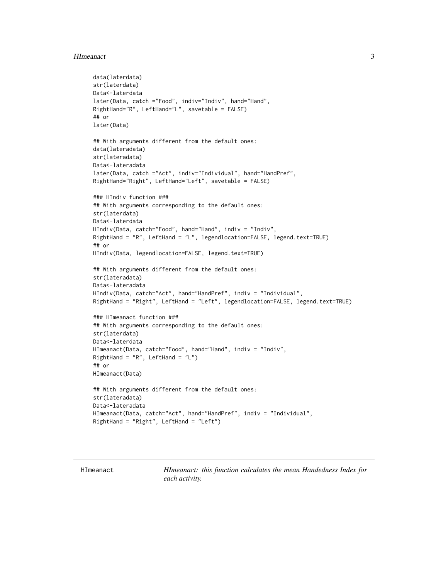#### <span id="page-2-0"></span>HImeanact 3

```
data(laterdata)
str(laterdata)
Data<-laterdata
later(Data, catch ="Food", indiv="Indiv", hand="Hand",
RightHand="R", LeftHand="L", savetable = FALSE)
## or
later(Data)
## With arguments different from the default ones:
data(lateradata)
str(lateradata)
Data<-lateradata
later(Data, catch ="Act", indiv="Individual", hand="HandPref",
RightHand="Right", LeftHand="Left", savetable = FALSE)
### HIndiv function ###
## With arguments corresponding to the default ones:
str(laterdata)
Data<-laterdata
HIndiv(Data, catch="Food", hand="Hand", indiv = "Indiv",
RightHand = "R", LeftHand = "L", legendlocation=FALSE, legend.text=TRUE)
## or
HIndiv(Data, legendlocation=FALSE, legend.text=TRUE)
## With arguments different from the default ones:
str(lateradata)
Data<-lateradata
HIndiv(Data, catch="Act", hand="HandPref", indiv = "Individual",
RightHand = "Right", LeftHand = "Left", legendlocation=FALSE, legend.text=TRUE)
### HImeanact function ###
## With arguments corresponding to the default ones:
str(laterdata)
Data<-laterdata
HImeanact(Data, catch="Food", hand="Hand", indiv = "Indiv",
RightHand = "R", LeftHand = "L")
## or
HImeanact(Data)
## With arguments different from the default ones:
str(lateradata)
Data<-lateradata
HImeanact(Data, catch="Act", hand="HandPref", indiv = "Individual",
RightHand = "Right", LeftHand = "Left")
```
HImeanact *HImeanact: this function calculates the mean Handedness Index for each activity.*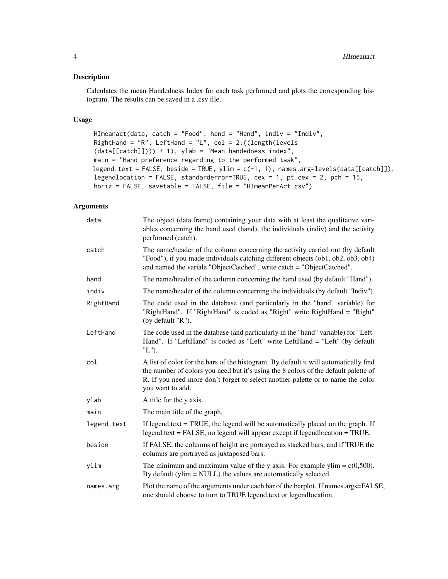#### Description

Calculates the mean Handedness Index for each task performed and plots the corresponding histogram. The results can be saved in a .csv file.

#### Usage

```
HImeanact(data, catch = "Food", hand = "Hand", indiv = "Indiv",
RightHand = "R", LeftHand = "L", col = 2:((length(levels
(data[[catch]]))) + 1), ylab = "Mean handedness index",
main = "Hand preference regarding to the performed task",
legend.text = FALSE, beside = TRUE, ylim = c(-1, 1), names.arg=levels(data[[catch]]),
legendlocation = FALSE, standarderror=TRUE, cex = 1, pt.cex = 2, pch = 15,
horiz = FALSE, savetable = FALSE, file = "HImeanPerAct.csv")
```

| data        | The object (data.frame) containing your data with at least the qualitative vari-<br>ables concerning the hand used (hand), the individuals (indiv) and the activity<br>performed (catch).                                                                                          |
|-------------|------------------------------------------------------------------------------------------------------------------------------------------------------------------------------------------------------------------------------------------------------------------------------------|
| catch       | The name/header of the column concerning the activity carried out (by default<br>"Food"), if you made individuals catching different objects (ob1, ob2, ob3, ob4)<br>and named the variale "ObjectCatched", write catch = "ObjectCatched".                                         |
| hand        | The name/header of the column concerning the hand used (by default "Hand").                                                                                                                                                                                                        |
| indiv       | The name/header of the column concerning the individuals (by default "Indiv").                                                                                                                                                                                                     |
| RightHand   | The code used in the database (and particularly in the "hand" variable) for<br>"RightHand". If "RightHand" is coded as "Right" write RightHand = "Right"<br>(by default "R").                                                                                                      |
| LeftHand    | The code used in the database (and particularly in the "hand" variable) for "Left-<br>Hand". If "LeftHand" is coded as "Left" write LeftHand = "Left" (by default<br>"L").                                                                                                         |
| col         | A list of color for the bars of the histogram. By default it will automatically find<br>the number of colors you need but it's using the 8 colors of the default palette of<br>R. If you need more don't forget to select another palette or to name the color<br>you want to add. |
| ylab        | A title for the y axis.                                                                                                                                                                                                                                                            |
| main        | The main title of the graph.                                                                                                                                                                                                                                                       |
| legend.text | If legend text $=$ TRUE, the legend will be automatically placed on the graph. If<br>$legend.text = FALSE, no legend will appear except if legendlocation = TRUE.$                                                                                                                 |
| beside      | If FALSE, the columns of height are portrayed as stacked bars, and if TRUE the<br>columns are portrayed as juxtaposed bars.                                                                                                                                                        |
| ylim        | The minimum and maximum value of the y axis. For example ylim = $c(0,500)$ .<br>By default (ylim $=$ NULL) the values are automatically selected.                                                                                                                                  |
| names.arg   | Plot the name of the arguments under each bar of the barplot. If names.args=FALSE,<br>one should choose to turn to TRUE legend.text or legendlocation.                                                                                                                             |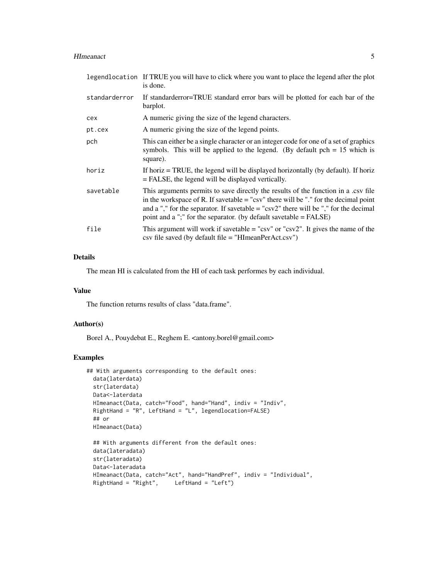#### HImeanact 5

|               | legendlocation If TRUE you will have to click where you want to place the legend after the plot<br>is done.                                                                                                                                                                                                                                  |
|---------------|----------------------------------------------------------------------------------------------------------------------------------------------------------------------------------------------------------------------------------------------------------------------------------------------------------------------------------------------|
| standarderror | If standard error bars will be plotted for each bar of the<br>barplot.                                                                                                                                                                                                                                                                       |
| cex           | A numeric giving the size of the legend characters.                                                                                                                                                                                                                                                                                          |
| pt.cex        | A numeric giving the size of the legend points.                                                                                                                                                                                                                                                                                              |
| pch           | This can either be a single character or an integer code for one of a set of graphics<br>symbols. This will be applied to the legend. (By default $pch = 15$ which is<br>square).                                                                                                                                                            |
| horiz         | If horiz = TRUE, the legend will be displayed horizontally (by default). If horiz<br>$=$ FALSE, the legend will be displayed vertically.                                                                                                                                                                                                     |
| savetable     | This arguments permits to save directly the results of the function in a .csv file<br>in the workspace of R. If savetable $=$ "csv" there will be "." for the decimal point<br>and a "," for the separator. If savetable $=$ "csv2" there will be "," for the decimal<br>point and a ";" for the separator. (by default savetable $=$ FALSE) |
| file          | This argument will work if savetable = " $\csc$ " or " $\csc$ ". It gives the name of the<br>$\cos$ file saved (by default file = "HImeanPerAct.csv")                                                                                                                                                                                        |

#### Details

The mean HI is calculated from the HI of each task performes by each individual.

#### Value

The function returns results of class "data.frame".

#### Author(s)

Borel A., Pouydebat E., Reghem E. <antony.borel@gmail.com>

#### Examples

```
## With arguments corresponding to the default ones:
  data(laterdata)
  str(laterdata)
  Data<-laterdata
  HImeanact(Data, catch="Food", hand="Hand", indiv = "Indiv",
  RightHand = "R", LeftHand = "L", legendlocation=FALSE)
  ## or
  HImeanact(Data)
  ## With arguments different from the default ones:
  data(lateradata)
  str(lateradata)
  Data<-lateradata
  HImeanact(Data, catch="Act", hand="HandPref", indiv = "Individual",
  RightHand = "Right", LeftHand = "Left")
```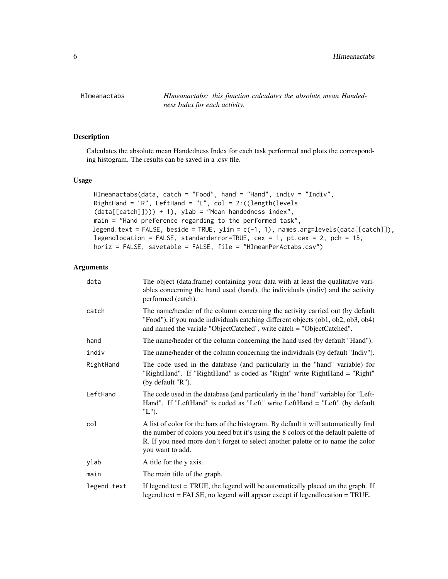<span id="page-5-0"></span>HImeanactabs *HImeanactabs: this function calculates the absolute mean Handedness Index for each activity.*

#### Description

Calculates the absolute mean Handedness Index for each task performed and plots the corresponding histogram. The results can be saved in a .csv file.

#### Usage

```
HImeanactabs(data, catch = "Food", hand = "Hand", indiv = "Indiv",
RightHand = "R", LeftHand = "L", col = 2:((length(levels
(data[[catch]]))) + 1), ylab = "Mean handedness index",
main = "Hand preference regarding to the performed task",
legend.text = FALSE, beside = TRUE, ylim = c(-1, 1), names.argv = levels(data[[catch]]),legendlocation = FALSE, standarderror=TRUE, cex = 1, pt.cex = 2, pch = 15,
horiz = FALSE, savetable = FALSE, file = "HImeanPerActabs.csv")
```

| data        | The object (data.frame) containing your data with at least the qualitative vari-<br>ables concerning the hand used (hand), the individuals (indiv) and the activity<br>performed (catch).                                                                                          |
|-------------|------------------------------------------------------------------------------------------------------------------------------------------------------------------------------------------------------------------------------------------------------------------------------------|
| catch       | The name/header of the column concerning the activity carried out (by default<br>"Food"), if you made individuals catching different objects (ob1, ob2, ob3, ob4)<br>and named the variale "ObjectCatched", write catch = "ObjectCatched".                                         |
| hand        | The name/header of the column concerning the hand used (by default "Hand").                                                                                                                                                                                                        |
| indiv       | The name/header of the column concerning the individuals (by default "Indiv").                                                                                                                                                                                                     |
| RightHand   | The code used in the database (and particularly in the "hand" variable) for<br>"RightHand". If "RightHand" is coded as "Right" write RightHand = "Right"<br>(by default "R").                                                                                                      |
| LeftHand    | The code used in the database (and particularly in the "hand" variable) for "Left-<br>Hand". If "LeftHand" is coded as "Left" write LeftHand = "Left" (by default<br>"L").                                                                                                         |
| col         | A list of color for the bars of the histogram. By default it will automatically find<br>the number of colors you need but it's using the 8 colors of the default palette of<br>R. If you need more don't forget to select another palette or to name the color<br>you want to add. |
| ylab        | A title for the y axis.                                                                                                                                                                                                                                                            |
| main        | The main title of the graph.                                                                                                                                                                                                                                                       |
| legend.text | If legend text $=$ TRUE, the legend will be automatically placed on the graph. If<br>$legend.text = FALSE$ , no legend will appear except if legendlocation = TRUE.                                                                                                                |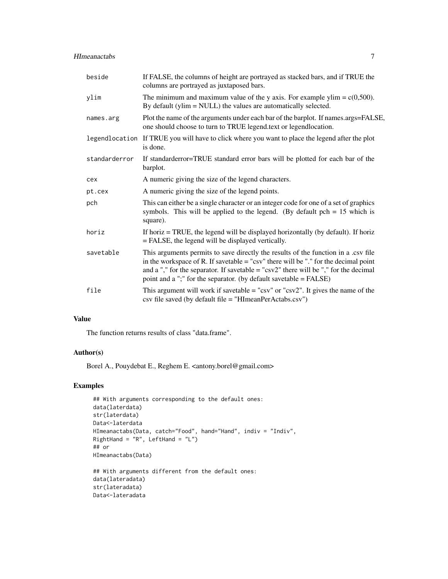#### HImeanactabs 7

| beside        | If FALSE, the columns of height are portrayed as stacked bars, and if TRUE the<br>columns are portrayed as juxtaposed bars.                                                                                                                                                                                                                |
|---------------|--------------------------------------------------------------------------------------------------------------------------------------------------------------------------------------------------------------------------------------------------------------------------------------------------------------------------------------------|
| ylim          | The minimum and maximum value of the y axis. For example ylim = $c(0,500)$ .<br>By default (ylim = NULL) the values are automatically selected.                                                                                                                                                                                            |
| names.arg     | Plot the name of the arguments under each bar of the barplot. If names.args=FALSE,<br>one should choose to turn to TRUE legend.text or legendlocation.                                                                                                                                                                                     |
|               | legendlocation If TRUE you will have to click where you want to place the legend after the plot<br>is done.                                                                                                                                                                                                                                |
| standarderror | If standard error bars will be plotted for each bar of the<br>barplot.                                                                                                                                                                                                                                                                     |
| cex           | A numeric giving the size of the legend characters.                                                                                                                                                                                                                                                                                        |
| pt.cex        | A numeric giving the size of the legend points.                                                                                                                                                                                                                                                                                            |
| pch           | This can either be a single character or an integer code for one of a set of graphics<br>symbols. This will be applied to the legend. (By default $pch = 15$ which is<br>square).                                                                                                                                                          |
| horiz         | If horiz $=$ TRUE, the legend will be displayed horizontally (by default). If horiz<br>= FALSE, the legend will be displayed vertically.                                                                                                                                                                                                   |
| savetable     | This arguments permits to save directly the results of the function in a .csv file<br>in the workspace of R. If savetable $=$ "csv" there will be "." for the decimal point<br>and a "," for the separator. If savetable $=$ "csv2" there will be "," for the decimal<br>point and a ";" for the separator. (by default savetable = FALSE) |
| file          | This argument will work if savetable = " $\text{csv}$ " or " $\text{csv}2$ ". It gives the name of the<br>csv file saved (by default file = "HImeanPerActabs.csv")                                                                                                                                                                         |

#### Value

The function returns results of class "data.frame".

#### Author(s)

Borel A., Pouydebat E., Reghem E. <antony.borel@gmail.com>

#### Examples

```
## With arguments corresponding to the default ones:
data(laterdata)
str(laterdata)
Data<-laterdata
HImeanactabs(Data, catch="Food", hand="Hand", indiv = "Indiv",
RightHand = "R", LeftHand = "L")## or
HImeanactabs(Data)
## With arguments different from the default ones:
data(lateradata)
```

```
str(lateradata)
Data<-lateradata
```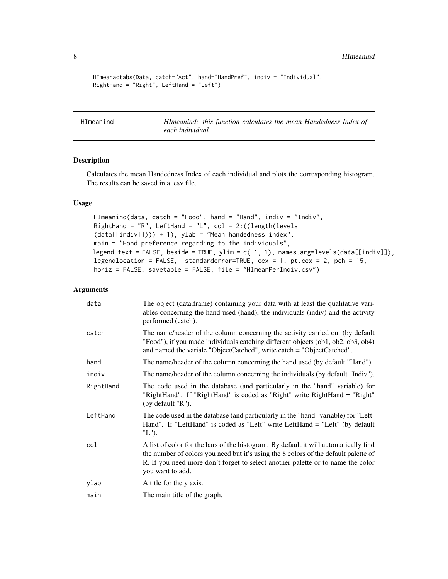```
HImeanactabs(Data, catch="Act", hand="HandPref", indiv = "Individual",
RightHand = "Right", LeftHand = "Left")
```
HImeanind *HImeanind: this function calculates the mean Handedness Index of each individual.*

#### Description

Calculates the mean Handedness Index of each individual and plots the corresponding histogram. The results can be saved in a .csv file.

#### Usage

```
HImeanind(data, catch = "Food", hand = "Hand", indiv = "Indiv",
RightHand = "R", LeftHand = "L", col = 2:((length(levels
(data[[indiv]])) + 1), ylab = "Mean handedness index",main = "Hand preference regarding to the individuals",
legend.text = FALSE, beside = TRUE, ylim = c(-1, 1), names.argv = levels(data[[indiv]]),legendlocation = FALSE, standarderror=TRUE, cex = 1, pt.cex = 2, pch = 15,
horiz = FALSE, savetable = FALSE, file = "HImeanPerIndiv.csv")
```

| data      | The object (data.frame) containing your data with at least the qualitative vari-<br>ables concerning the hand used (hand), the individuals (indiv) and the activity<br>performed (catch).                                                                                          |
|-----------|------------------------------------------------------------------------------------------------------------------------------------------------------------------------------------------------------------------------------------------------------------------------------------|
| catch     | The name/header of the column concerning the activity carried out (by default)<br>"Food"), if you made individuals catching different objects (ob1, ob2, ob3, ob4)<br>and named the variale "ObjectCatched", write catch = "ObjectCatched".                                        |
| hand      | The name/header of the column concerning the hand used (by default "Hand").                                                                                                                                                                                                        |
| indiv     | The name/header of the column concerning the individuals (by default "Indiv").                                                                                                                                                                                                     |
| RightHand | The code used in the database (and particularly in the "hand" variable) for<br>"RightHand". If "RightHand" is coded as "Right" write RightHand = "Right"<br>(by default "R").                                                                                                      |
| LeftHand  | The code used in the database (and particularly in the "hand" variable) for "Left-<br>Hand". If "LeftHand" is coded as "Left" write LeftHand = "Left" (by default<br>$"L"$ ).                                                                                                      |
| col       | A list of color for the bars of the histogram. By default it will automatically find<br>the number of colors you need but it's using the 8 colors of the default palette of<br>R. If you need more don't forget to select another palette or to name the color<br>you want to add. |
| ylab      | A title for the y axis.                                                                                                                                                                                                                                                            |
| main      | The main title of the graph.                                                                                                                                                                                                                                                       |

<span id="page-7-0"></span>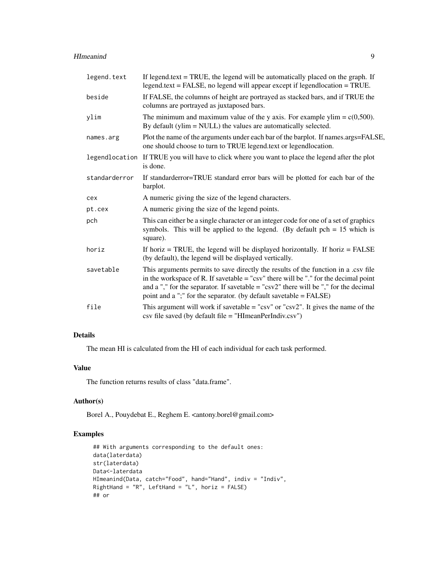#### HImeanind 9

| legend.text   | If legend.text $=$ TRUE, the legend will be automatically placed on the graph. If<br>legend.text = FALSE, no legend will appear except if legendlocation = TRUE.                                                                                                                                                                           |
|---------------|--------------------------------------------------------------------------------------------------------------------------------------------------------------------------------------------------------------------------------------------------------------------------------------------------------------------------------------------|
| beside        | If FALSE, the columns of height are portrayed as stacked bars, and if TRUE the<br>columns are portrayed as juxtaposed bars.                                                                                                                                                                                                                |
| ylim          | The minimum and maximum value of the y axis. For example ylim = $c(0,500)$ .<br>By default (ylim $=$ NULL) the values are automatically selected.                                                                                                                                                                                          |
| names.arg     | Plot the name of the arguments under each bar of the barplot. If names.args=FALSE,<br>one should choose to turn to TRUE legend.text or legendlocation.                                                                                                                                                                                     |
|               | legendlocation If TRUE you will have to click where you want to place the legend after the plot<br>is done.                                                                                                                                                                                                                                |
| standarderror | If standard error bars will be plotted for each bar of the<br>barplot.                                                                                                                                                                                                                                                                     |
| cex           | A numeric giving the size of the legend characters.                                                                                                                                                                                                                                                                                        |
| pt.cex        | A numeric giving the size of the legend points.                                                                                                                                                                                                                                                                                            |
| pch           | This can either be a single character or an integer code for one of a set of graphics<br>symbols. This will be applied to the legend. (By default $pch = 15$ which is<br>square).                                                                                                                                                          |
| horiz         | If horiz $=$ TRUE, the legend will be displayed horizontally. If horiz $=$ FALSE<br>(by default), the legend will be displayed vertically.                                                                                                                                                                                                 |
| savetable     | This arguments permits to save directly the results of the function in a .csv file<br>in the workspace of R. If savetable $=$ "csv" there will be "." for the decimal point<br>and a "," for the separator. If savetable $=$ "csv2" there will be "," for the decimal<br>point and a ";" for the separator. (by default savetable = FALSE) |
| file          | This argument will work if savetable = " $\text{csv}$ " or " $\text{csv2}$ ". It gives the name of the<br>$\cos$ file saved (by default file = "HImeanPerIndiv. $\cos$ v")                                                                                                                                                                 |

#### Details

The mean HI is calculated from the HI of each individual for each task performed.

#### Value

The function returns results of class "data.frame".

#### Author(s)

Borel A., Pouydebat E., Reghem E. <antony.borel@gmail.com>

#### Examples

```
## With arguments corresponding to the default ones:
data(laterdata)
str(laterdata)
Data<-laterdata
HImeanind(Data, catch="Food", hand="Hand", indiv = "Indiv",
RightHand = "R", LeftHand = "L", horiz = FALSE)
## or
```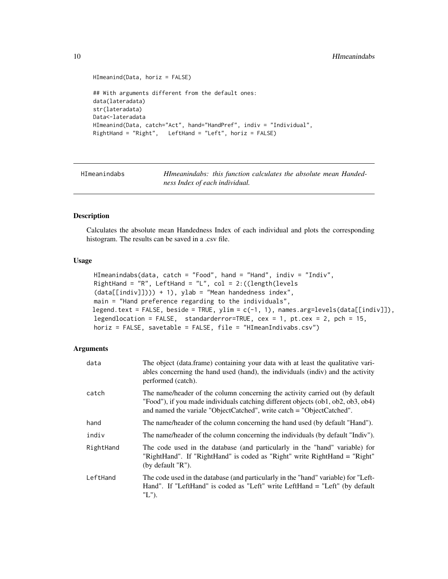```
HImeanind(Data, horiz = FALSE)
## With arguments different from the default ones:
data(lateradata)
str(lateradata)
Data<-lateradata
HImeanind(Data, catch="Act", hand="HandPref", indiv = "Individual",
RightHand = "Right", LeftHand = "Left", horiz = FALSE)
```
HImeanindabs *HImeanindabs: this function calculates the absolute mean Handedness Index of each individual.*

#### **Description**

Calculates the absolute mean Handedness Index of each individual and plots the corresponding histogram. The results can be saved in a .csv file.

#### Usage

```
HImeanindabs(data, catch = "Food", hand = "Hand", indiv = "Indiv",
RightHand = "R", LeftHand = "L", col = 2:((\text{length}(\text{levels})))(data[[indiv]]))) + 1), ylab = "Mean handedness index",
main = "Hand preference regarding to the individuals",
legend.text = FALSE, beside = TRUE, ylim = c(-1, 1), names.arg=levels(data[[indiv]]),
legendlocation = FALSE, standarderror=TRUE, cex = 1, pt.cex = 2, pch = 15,
horiz = FALSE, savetable = FALSE, file = "HImeanIndivabs.csv")
```

| data      | The object (data.frame) containing your data with at least the qualitative vari-<br>ables concerning the hand used (hand), the individuals (indiv) and the activity<br>performed (catch).                                                   |
|-----------|---------------------------------------------------------------------------------------------------------------------------------------------------------------------------------------------------------------------------------------------|
| catch     | The name/header of the column concerning the activity carried out (by default)<br>"Food"), if you made individuals catching different objects (ob1, ob2, ob3, ob4)<br>and named the variale "ObjectCatched", write catch = "ObjectCatched". |
| hand      | The name/header of the column concerning the hand used (by default "Hand").                                                                                                                                                                 |
| indiv     | The name/header of the column concerning the individuals (by default "Indiv").                                                                                                                                                              |
| RightHand | The code used in the database (and particularly in the "hand" variable) for<br>"RightHand". If "RightHand" is coded as "Right" write RightHand = "Right"<br>(by default "R").                                                               |
| LeftHand  | The code used in the database (and particularly in the "hand" variable) for "Left-<br>Hand". If "LeftHand" is coded as "Left" write LeftHand = "Left" (by default<br>$"L"$ ).                                                               |

<span id="page-9-0"></span>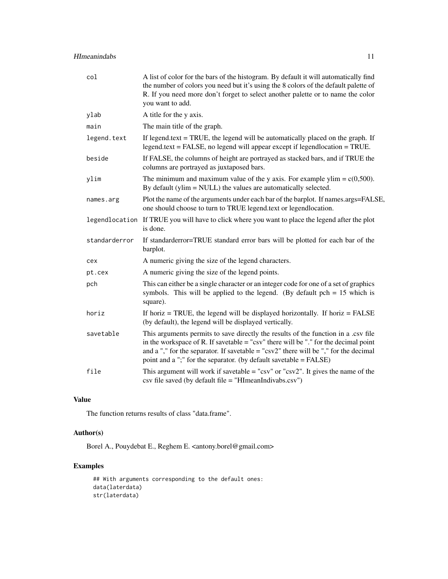| col           | A list of color for the bars of the histogram. By default it will automatically find<br>the number of colors you need but it's using the 8 colors of the default palette of<br>R. If you need more don't forget to select another palette or to name the color<br>you want to add.                                                                |
|---------------|---------------------------------------------------------------------------------------------------------------------------------------------------------------------------------------------------------------------------------------------------------------------------------------------------------------------------------------------------|
| ylab          | A title for the y axis.                                                                                                                                                                                                                                                                                                                           |
| main          | The main title of the graph.                                                                                                                                                                                                                                                                                                                      |
| legend.text   | If legend text $=$ TRUE, the legend will be automatically placed on the graph. If<br>legend.text = FALSE, no legend will appear except if legendlocation = TRUE.                                                                                                                                                                                  |
| beside        | If FALSE, the columns of height are portrayed as stacked bars, and if TRUE the<br>columns are portrayed as juxtaposed bars.                                                                                                                                                                                                                       |
| ylim          | The minimum and maximum value of the y axis. For example ylim = $c(0,500)$ .<br>By default (ylim = NULL) the values are automatically selected.                                                                                                                                                                                                   |
| names.arg     | Plot the name of the arguments under each bar of the barplot. If names.args=FALSE,<br>one should choose to turn to TRUE legend.text or legendlocation.                                                                                                                                                                                            |
|               | legendlocation If TRUE you will have to click where you want to place the legend after the plot<br>is done.                                                                                                                                                                                                                                       |
| standarderror | If standard error bars will be plotted for each bar of the<br>barplot.                                                                                                                                                                                                                                                                            |
| cex           | A numeric giving the size of the legend characters.                                                                                                                                                                                                                                                                                               |
| pt.cex        | A numeric giving the size of the legend points.                                                                                                                                                                                                                                                                                                   |
| pch           | This can either be a single character or an integer code for one of a set of graphics<br>symbols. This will be applied to the legend. (By default $pch = 15$ which is<br>square).                                                                                                                                                                 |
| horiz         | If horiz $=$ TRUE, the legend will be displayed horizontally. If horiz $=$ FALSE<br>(by default), the legend will be displayed vertically.                                                                                                                                                                                                        |
| savetable     | This arguments permits to save directly the results of the function in a .csv file<br>in the workspace of R. If savetable = "csv" there will be "." for the decimal point<br>and a "," for the separator. If savetable = " $\text{csv2}$ " there will be "," for the decimal<br>point and a ";" for the separator. (by default savetable = FALSE) |
| file          | This argument will work if savetable = " $\text{csv}$ " or " $\text{csv}$ ". It gives the name of the<br>$\cos$ file saved (by default file = "HImeanIndivabs. $\cos$ v")                                                                                                                                                                         |

#### Value

The function returns results of class "data.frame".

#### Author(s)

Borel A., Pouydebat E., Reghem E. <antony.borel@gmail.com>

#### Examples

## With arguments corresponding to the default ones: data(laterdata) str(laterdata)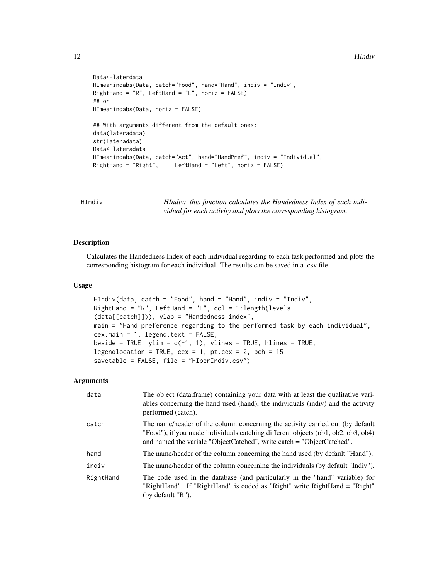#### <span id="page-11-0"></span>12 **HIndiv**

```
Data<-laterdata
HImeanindabs(Data, catch="Food", hand="Hand", indiv = "Indiv",
RightHand = "R", LeftHand = "L", horiz = FALSE)
## or
HImeanindabs(Data, horiz = FALSE)
## With arguments different from the default ones:
data(lateradata)
str(lateradata)
Data<-lateradata
HImeanindabs(Data, catch="Act", hand="HandPref", indiv = "Individual",
                        LeftHand = "Left", horiz = FALSE)
```
HIndiv *HIndiv: this function calculates the Handedness Index of each individual for each activity and plots the corresponding histogram.*

#### Description

Calculates the Handedness Index of each individual regarding to each task performed and plots the corresponding histogram for each individual. The results can be saved in a .csv file.

#### Usage

```
HIndiv(data, catch = "Food", hand = "Hand", indiv = "Indiv",
RightHand = "R", LeftHand = "L", col = 1:length(levels
(data[[catch]])), ylab = "Handedness index",
main = "Hand preference regarding to the performed task by each individual",
cex.main = 1, legend.text = FALSE,
beside = TRUE, ylim = c(-1, 1), vlines = TRUE, hlines = TRUE,
legendlocation = TRUE, cex = 1, pt.cex = 2, pch = 15,
savetable = FALSE, file = "HIperIndiv.csv")
```

| data      | The object (data.frame) containing your data with at least the qualitative vari-<br>ables concerning the hand used (hand), the individuals (indiv) and the activity<br>performed (catch).                                                   |
|-----------|---------------------------------------------------------------------------------------------------------------------------------------------------------------------------------------------------------------------------------------------|
| catch     | The name/header of the column concerning the activity carried out (by default)<br>"Food"), if you made individuals catching different objects (ob1, ob2, ob3, ob4)<br>and named the variale "ObjectCatched", write catch = "ObjectCatched". |
| hand      | The name/header of the column concerning the hand used (by default "Hand").                                                                                                                                                                 |
| indiv     | The name/header of the column concerning the individuals (by default "Indiv").                                                                                                                                                              |
| RightHand | The code used in the database (and particularly in the "hand" variable) for<br>"RightHand". If "RightHand" is coded as "Right" write RightHand = "Right"<br>(by default "R").                                                               |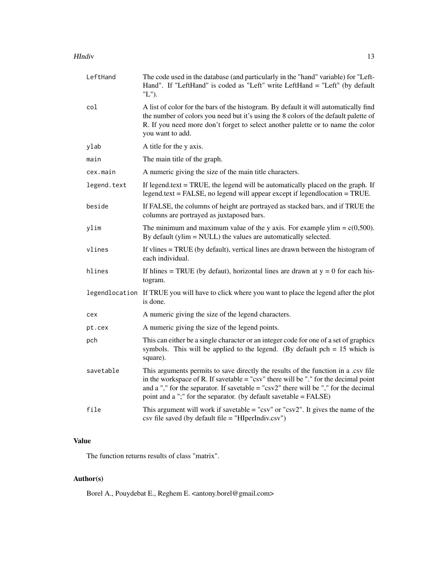#### HIndiv and the state of the state of the state of the state of the state of the state of the state of the state of the state of the state of the state of the state of the state of the state of the state of the state of the

| LeftHand    | The code used in the database (and particularly in the "hand" variable) for "Left-<br>Hand". If "LeftHand" is coded as "Left" write LeftHand = "Left" (by default<br>$"L"$ ).                                                                                                                                                                       |
|-------------|-----------------------------------------------------------------------------------------------------------------------------------------------------------------------------------------------------------------------------------------------------------------------------------------------------------------------------------------------------|
| col         | A list of color for the bars of the histogram. By default it will automatically find<br>the number of colors you need but it's using the 8 colors of the default palette of<br>R. If you need more don't forget to select another palette or to name the color<br>you want to add.                                                                  |
| ylab        | A title for the y axis.                                                                                                                                                                                                                                                                                                                             |
| main        | The main title of the graph.                                                                                                                                                                                                                                                                                                                        |
| cex.main    | A numeric giving the size of the main title characters.                                                                                                                                                                                                                                                                                             |
| legend.text | If legend text $=$ TRUE, the legend will be automatically placed on the graph. If<br>$legend.text = FALSE, no legend will appear except if legendlocation = TRUE.$                                                                                                                                                                                  |
| beside      | If FALSE, the columns of height are portrayed as stacked bars, and if TRUE the<br>columns are portrayed as juxtaposed bars.                                                                                                                                                                                                                         |
| ylim        | The minimum and maximum value of the y axis. For example ylim = $c(0,500)$ .<br>By default (ylim $=$ NULL) the values are automatically selected.                                                                                                                                                                                                   |
| vlines      | If vlines = TRUE (by default), vertical lines are drawn between the histogram of<br>each individual.                                                                                                                                                                                                                                                |
| hlines      | If hlines = TRUE (by defaut), horizontal lines are drawn at $y = 0$ for each his-<br>togram.                                                                                                                                                                                                                                                        |
|             | legendlocation If TRUE you will have to click where you want to place the legend after the plot<br>is done.                                                                                                                                                                                                                                         |
| cex         | A numeric giving the size of the legend characters.                                                                                                                                                                                                                                                                                                 |
| pt.cex      | A numeric giving the size of the legend points.                                                                                                                                                                                                                                                                                                     |
| pch         | This can either be a single character or an integer code for one of a set of graphics<br>symbols. This will be applied to the legend. (By default $pch = 15$ which is<br>square).                                                                                                                                                                   |
| savetable   | This arguments permits to save directly the results of the function in a .csv file<br>in the workspace of R. If savetable $=$ "csv" there will be "." for the decimal point<br>and a "," for the separator. If savetable = " $\text{csv2}$ " there will be "," for the decimal<br>point and a ";" for the separator. (by default savetable = FALSE) |
| file        | This argument will work if savetable = " $\text{csv}$ " or " $\text{csv2}$ ". It gives the name of the<br>csv file saved (by default file = "HIperIndiv.csv")                                                                                                                                                                                       |

#### Value

The function returns results of class "matrix".

### Author(s)

Borel A., Pouydebat E., Reghem E. <antony.borel@gmail.com>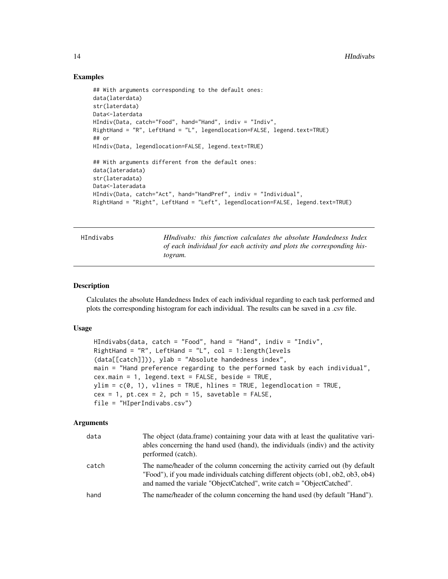#### Examples

```
## With arguments corresponding to the default ones:
data(laterdata)
str(laterdata)
Data<-laterdata
HIndiv(Data, catch="Food", hand="Hand", indiv = "Indiv",
RightHand = "R", LeftHand = "L", legendlocation=FALSE, legend.text=TRUE)
## or
HIndiv(Data, legendlocation=FALSE, legend.text=TRUE)
## With arguments different from the default ones:
data(lateradata)
str(lateradata)
Data<-lateradata
HIndiv(Data, catch="Act", hand="HandPref", indiv = "Individual",
RightHand = "Right", LeftHand = "Left", legendlocation=FALSE, legend.text=TRUE)
```

| HIndivabs |  |
|-----------|--|
|-----------|--|

HIndivabs: this function calculates the absolute Handedness Index *of each individual for each activity and plots the corresponding histogram.*

#### Description

Calculates the absolute Handedness Index of each individual regarding to each task performed and plots the corresponding histogram for each individual. The results can be saved in a .csv file.

#### Usage

```
HIndivabs(data, catch = "Food", hand = "Hand", indiv = "Indiv",
RightHand = "R", LeftHand = "L", col = 1: length(levels
(data[[catch]])), ylab = "Absolute handedness index",
main = "Hand preference regarding to the performed task by each individual",
cex.main = 1, legend.text = FALSE, beside = TRUE,
ylim = c(0, 1), vlines = TRUE, hlines = TRUE, legendlocation = TRUE,
cex = 1, pt.cex = 2, pch = 15, savetable = FALSE,
file = "HIperIndivabs.csv")
```

| data  | The object (data.frame) containing your data with at least the qualitative vari-<br>ables concerning the hand used (hand), the individuals (indiv) and the activity<br>performed (catch).                                                   |
|-------|---------------------------------------------------------------------------------------------------------------------------------------------------------------------------------------------------------------------------------------------|
| catch | The name/header of the column concerning the activity carried out (by default)<br>"Food"), if you made individuals catching different objects (ob1, ob2, ob3, ob4)<br>and named the variale "ObjectCatched", write catch = "ObjectCatched". |
| hand  | The name/header of the column concerning the hand used (by default "Hand").                                                                                                                                                                 |
|       |                                                                                                                                                                                                                                             |

<span id="page-13-0"></span>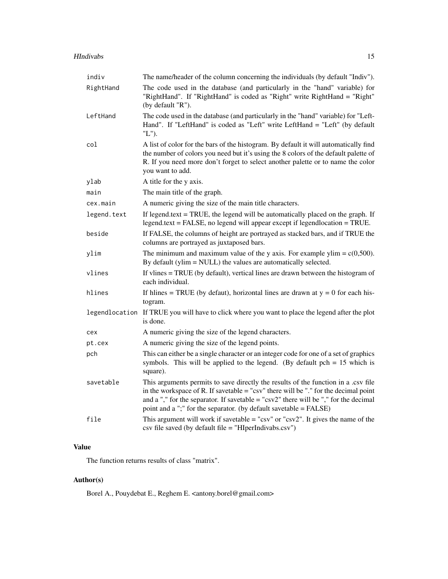#### HIndivabs 15

| indiv          | The name/header of the column concerning the individuals (by default "Indiv").                                                                                                                                                                                                                                                                      |
|----------------|-----------------------------------------------------------------------------------------------------------------------------------------------------------------------------------------------------------------------------------------------------------------------------------------------------------------------------------------------------|
| RightHand      | The code used in the database (and particularly in the "hand" variable) for<br>"RightHand". If "RightHand" is coded as "Right" write RightHand = "Right"<br>(by default "R").                                                                                                                                                                       |
| LeftHand       | The code used in the database (and particularly in the "hand" variable) for "Left-<br>Hand". If "LeftHand" is coded as "Left" write LeftHand = "Left" (by default<br>"L").                                                                                                                                                                          |
| col            | A list of color for the bars of the histogram. By default it will automatically find<br>the number of colors you need but it's using the 8 colors of the default palette of<br>R. If you need more don't forget to select another palette or to name the color<br>you want to add.                                                                  |
| ylab           | A title for the y axis.                                                                                                                                                                                                                                                                                                                             |
| main           | The main title of the graph.                                                                                                                                                                                                                                                                                                                        |
| cex.main       | A numeric giving the size of the main title characters.                                                                                                                                                                                                                                                                                             |
| legend.text    | If legend.text = TRUE, the legend will be automatically placed on the graph. If<br>legend.text = FALSE, no legend will appear except if legendlocation = TRUE.                                                                                                                                                                                      |
| beside         | If FALSE, the columns of height are portrayed as stacked bars, and if TRUE the<br>columns are portrayed as juxtaposed bars.                                                                                                                                                                                                                         |
| ylim           | The minimum and maximum value of the y axis. For example ylim = $c(0,500)$ .<br>By default (ylim = NULL) the values are automatically selected.                                                                                                                                                                                                     |
| vlines         | If vlines = TRUE (by default), vertical lines are drawn between the histogram of<br>each individual.                                                                                                                                                                                                                                                |
| hlines         | If hlines = TRUE (by defaut), horizontal lines are drawn at $y = 0$ for each his-<br>togram.                                                                                                                                                                                                                                                        |
| legendlocation | If TRUE you will have to click where you want to place the legend after the plot<br>is done.                                                                                                                                                                                                                                                        |
| cex            | A numeric giving the size of the legend characters.                                                                                                                                                                                                                                                                                                 |
| pt.cex         | A numeric giving the size of the legend points.                                                                                                                                                                                                                                                                                                     |
| pch            | This can either be a single character or an integer code for one of a set of graphics<br>symbols. This will be applied to the legend. (By default $pch = 15$ which is<br>square).                                                                                                                                                                   |
| savetable      | This arguments permits to save directly the results of the function in a .csv file<br>in the workspace of R. If savetable $=$ "csv" there will be "." for the decimal point<br>and a "," for the separator. If savetable = " $\text{csv2}$ " there will be "," for the decimal<br>point and a ";" for the separator. (by default savetable = FALSE) |
| file           | This argument will work if savetable = " $\text{csv}$ " or " $\text{csv}$ ". It gives the name of the<br>csv file saved (by default file = "HIperIndivabs.csv")                                                                                                                                                                                     |

#### Value

The function returns results of class "matrix".

#### Author(s)

Borel A., Pouydebat E., Reghem E. <antony.borel@gmail.com>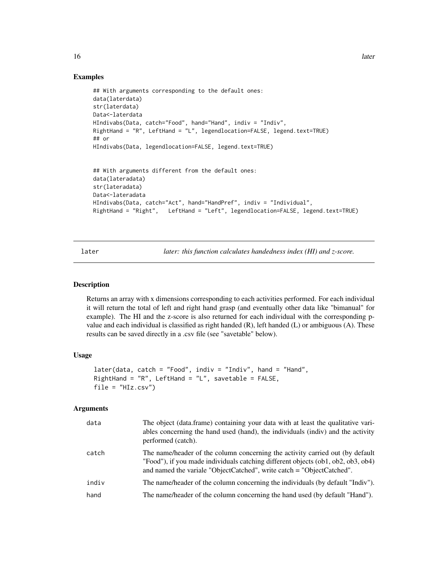#### Examples

```
## With arguments corresponding to the default ones:
data(laterdata)
str(laterdata)
Data<-laterdata
HIndivabs(Data, catch="Food", hand="Hand", indiv = "Indiv",
RightHand = "R", LeftHand = "L", legendlocation=FALSE, legend.text=TRUE)
## or
HIndivabs(Data, legendlocation=FALSE, legend.text=TRUE)
## With arguments different from the default ones:
data(lateradata)
str(lateradata)
Data<-lateradata
HIndivabs(Data, catch="Act", hand="HandPref", indiv = "Individual",
RightHand = "Right", LeftHand = "Left", legendlocation=FALSE, legend.text=TRUE)
```
later *later: this function calculates handedness index (HI) and z-score.*

#### Description

Returns an array with x dimensions corresponding to each activities performed. For each individual it will return the total of left and right hand grasp (and eventually other data like "bimanual" for example). The HI and the z-score is also returned for each individual with the corresponding pvalue and each individual is classified as right handed  $(R)$ , left handed  $(L)$  or ambiguous  $(A)$ . These results can be saved directly in a .csv file (see "savetable" below).

#### Usage

```
later(data, catch = "Food", indiv = "Indiv", hand = "Hand",
RightHand = "R", LeftHand = "L", savetable = FALSE,
file = "HIz.csv")
```

| data  | The object (data.frame) containing your data with at least the qualitative vari-<br>ables concerning the hand used (hand), the individuals (indiv) and the activity<br>performed (catch).                                                  |
|-------|--------------------------------------------------------------------------------------------------------------------------------------------------------------------------------------------------------------------------------------------|
| catch | The name/header of the column concerning the activity carried out (by default<br>"Food"), if you made individuals catching different objects (ob1, ob2, ob3, ob4)<br>and named the variale "ObjectCatched", write catch = "ObjectCatched". |
| indiv | The name/header of the column concerning the individuals (by default "Indiv").                                                                                                                                                             |
| hand  | The name/header of the column concerning the hand used (by default "Hand").                                                                                                                                                                |

<span id="page-15-0"></span>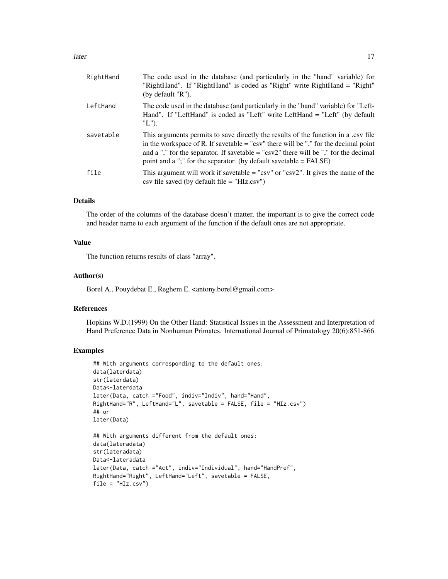| RightHand | The code used in the database (and particularly in the "hand" variable) for<br>"RightHand". If "RightHand" is coded as "Right" write RightHand = "Right"<br>(by default "R").                                                                                                                                                                  |
|-----------|------------------------------------------------------------------------------------------------------------------------------------------------------------------------------------------------------------------------------------------------------------------------------------------------------------------------------------------------|
| LeftHand  | The code used in the database (and particularly in the "hand" variable) for "Left-<br>Hand". If "LeftHand" is coded as "Left" write LeftHand = "Left" (by default<br>"L").                                                                                                                                                                     |
| savetable | This arguments permits to save directly the results of the function in a .csv file<br>in the workspace of R. If savetable $=$ "csv" there will be "." for the decimal point<br>and a "," for the separator. If savetable = " $csv2$ " there will be "," for the decimal<br>point and a ";" for the separator. (by default savetable $=$ FALSE) |
| file      | This argument will work if savetable $=$ "csv" or "csv2". It gives the name of the<br>$\cos y$ file saved (by default file = "HIz.csv")                                                                                                                                                                                                        |

#### Details

The order of the columns of the database doesn't matter, the important is to give the correct code and header name to each argument of the function if the default ones are not appropriate.

#### Value

The function returns results of class "array".

#### Author(s)

Borel A., Pouydebat E., Reghem E. <antony.borel@gmail.com>

#### References

Hopkins W.D.(1999) On the Other Hand: Statistical Issues in the Assessment and Interpretation of Hand Preference Data in Nonhuman Primates. International Journal of Primatology 20(6):851-866

#### Examples

```
## With arguments corresponding to the default ones:
data(laterdata)
str(laterdata)
Data<-laterdata
later(Data, catch ="Food", indiv="Indiv", hand="Hand",
RightHand="R", LeftHand="L", savetable = FALSE, file = "HIz.csv")
## or
later(Data)
## With arguments different from the default ones:
data(lateradata)
str(lateradata)
Data<-lateradata
later(Data, catch ="Act", indiv="Individual", hand="HandPref",
RightHand="Right", LeftHand="Left", savetable = FALSE,
file = "HIZ.csv")
```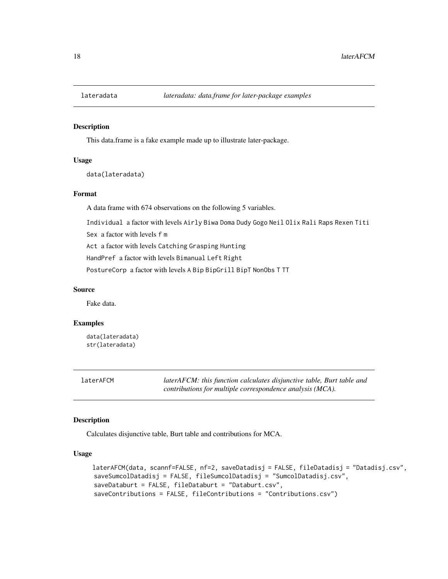<span id="page-17-0"></span>

#### Description

This data.frame is a fake example made up to illustrate later-package.

#### Usage

data(lateradata)

#### Format

A data frame with 674 observations on the following 5 variables.

Individual a factor with levels Airly Biwa Doma Dudy Gogo Neil Olix Rali Raps Rexen Titi

Sex a factor with levels f m

Act a factor with levels Catching Grasping Hunting

HandPref a factor with levels Bimanual Left Right

PostureCorp a factor with levels A Bip BipGrill BipT NonObs T TT

#### Source

Fake data.

#### Examples

data(lateradata) str(lateradata)

laterAFCM *laterAFCM: this function calculates disjunctive table, Burt table and contributions for multiple correspondence analysis (MCA).*

#### Description

Calculates disjunctive table, Burt table and contributions for MCA.

#### Usage

```
laterAFCM(data, scannf=FALSE, nf=2, saveDatadisj = FALSE, fileDatadisj = "Datadisj.csv",
saveSumcolDatadisj = FALSE, fileSumcolDatadisj = "SumcolDatadisj.csv",
saveDataburt = FALSE, fileDataburt = "Databurt.csv",
saveContributions = FALSE, fileContributions = "Contributions.csv")
```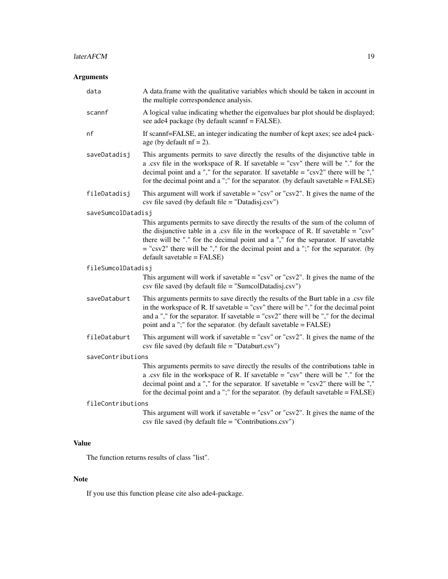#### Arguments

| data               | A data frame with the qualitative variables which should be taken in account in<br>the multiple correspondence analysis.                                                                                                                                                                                                                                                             |
|--------------------|--------------------------------------------------------------------------------------------------------------------------------------------------------------------------------------------------------------------------------------------------------------------------------------------------------------------------------------------------------------------------------------|
| scannf             | A logical value indicating whether the eigenvalues bar plot should be displayed;<br>see ade4 package (by default scannf = FALSE).                                                                                                                                                                                                                                                    |
| nf                 | If scannf=FALSE, an integer indicating the number of kept axes; see ade4 pack-<br>age (by default $nf = 2$ ).                                                                                                                                                                                                                                                                        |
| saveDatadisj       | This arguments permits to save directly the results of the disjunctive table in<br>a .csv file in the workspace of R. If savetable $=$ "csv" there will be "." for the<br>decimal point and a "," for the separator. If savetable = " $\text{csv2}$ " there will be ","<br>for the decimal point and a ";" for the separator. (by default savetable $=$ FALSE)                       |
| fileDatadisj       | This argument will work if savetable = " $\text{csv}$ " or " $\text{csv2}$ ". It gives the name of the<br>$\cos y$ file saved (by default file = "Datadisj. $\cos y$ ")                                                                                                                                                                                                              |
| saveSumcolDatadisj |                                                                                                                                                                                                                                                                                                                                                                                      |
|                    | This arguments permits to save directly the results of the sum of the column of<br>the disjunctive table in a .csv file in the workspace of R. If savetable $=$ "csv"<br>there will be "." for the decimal point and a "," for the separator. If savetable<br>$=$ "csv2" there will be "," for the decimal point and a ";" for the separator. (by<br>$default$ savetable = $FALSE$ ) |
| fileSumcolDatadisj |                                                                                                                                                                                                                                                                                                                                                                                      |
|                    | This argument will work if savetable = " $\text{csv}$ " or " $\text{csv}$ ". It gives the name of the<br>csv file saved (by default file = "SumcolDatadisj.csv")                                                                                                                                                                                                                     |
| saveDataburt       | This arguments permits to save directly the results of the Burt table in a .csv file<br>in the workspace of R. If savetable $=$ "csv" there will be "." for the decimal point<br>and a "," for the separator. If savetable = " $\text{csv2}$ " there will be "," for the decimal<br>point and a ";" for the separator. (by default savetable = FALSE)                                |
| fileDataburt       | This argument will work if savetable = " $\csc v$ " or " $\csc 2$ ". It gives the name of the<br>csv file saved (by default file = "Databurt.csv")                                                                                                                                                                                                                                   |
| saveContributions  |                                                                                                                                                                                                                                                                                                                                                                                      |
|                    | This arguments permits to save directly the results of the contributions table in<br>a .csv file in the workspace of R. If savetable $=$ "csv" there will be "." for the<br>decimal point and a "," for the separator. If savetable = " $\text{csv2}$ " there will be ","<br>for the decimal point and a ";" for the separator. (by default savetable $=$ FALSE)                     |
| fileContributions  |                                                                                                                                                                                                                                                                                                                                                                                      |
|                    | This argument will work if savetable = " $\text{csv}$ " or " $\text{csv2}$ ". It gives the name of the<br>$\cos$ file saved (by default file = "Contributions. $\cos$ v")                                                                                                                                                                                                            |

### Value

The function returns results of class "list".

#### Note

If you use this function please cite also ade4-package.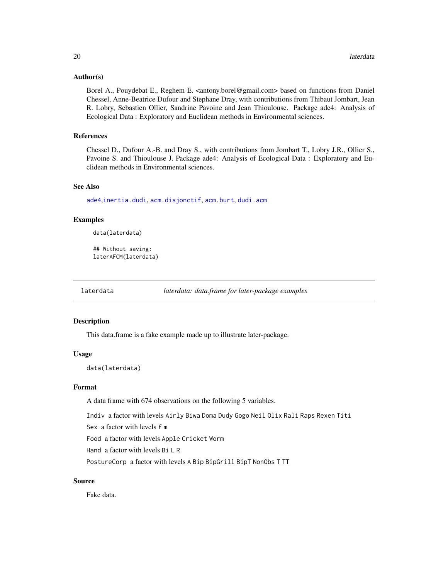#### <span id="page-19-0"></span>Author(s)

Borel A., Pouydebat E., Reghem E. <antony.borel@gmail.com> based on functions from Daniel Chessel, Anne-Beatrice Dufour and Stephane Dray, with contributions from Thibaut Jombart, Jean R. Lobry, Sebastien Ollier, Sandrine Pavoine and Jean Thioulouse. Package ade4: Analysis of Ecological Data : Exploratory and Euclidean methods in Environmental sciences.

#### References

Chessel D., Dufour A.-B. and Dray S., with contributions from Jombart T., Lobry J.R., Ollier S., Pavoine S. and Thioulouse J. Package ade4: Analysis of Ecological Data : Exploratory and Euclidean methods in Environmental sciences.

#### See Also

[ade4](#page-0-0),[inertia.dudi](#page-0-0), [acm.disjonctif](#page-0-0), [acm.burt](#page-0-0), [dudi.acm](#page-0-0)

#### Examples

```
data(laterdata)
```

```
## Without saving:
laterAFCM(laterdata)
```
laterdata *laterdata: data.frame for later-package examples*

#### Description

This data.frame is a fake example made up to illustrate later-package.

#### Usage

data(laterdata)

#### Format

A data frame with 674 observations on the following 5 variables.

Indiv a factor with levels Airly Biwa Doma Dudy Gogo Neil Olix Rali Raps Rexen Titi

Sex a factor with levels f m

Food a factor with levels Apple Cricket Worm

Hand a factor with levels Bi L R

PostureCorp a factor with levels A Bip BipGrill BipT NonObs T TT

#### Source

Fake data.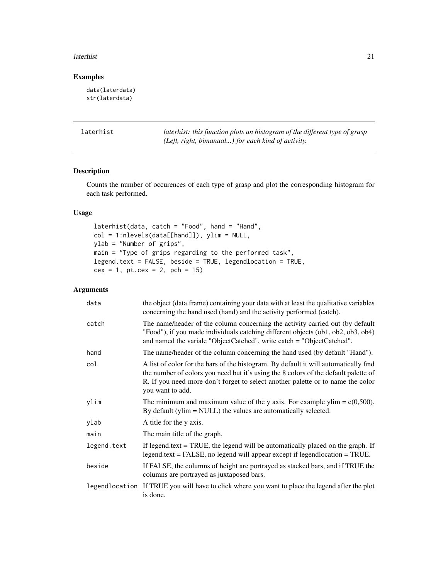#### <span id="page-20-0"></span>laterhist 21

#### Examples

```
data(laterdata)
str(laterdata)
```
laterhist *laterhist: this function plots an histogram of the different type of grasp (Left, right, bimanual...) for each kind of activity.*

#### Description

Counts the number of occurences of each type of grasp and plot the corresponding histogram for each task performed.

#### Usage

laterhist(data, catch = "Food", hand = "Hand", col = 1:nlevels(data[[hand]]), ylim = NULL, ylab = "Number of grips", main = "Type of grips regarding to the performed task", legend.text = FALSE, beside = TRUE, legendlocation = TRUE,  $cex = 1$ , pt.cex = 2, pch = 15)

| data           | the object (data.frame) containing your data with at least the qualitative variables<br>concerning the hand used (hand) and the activity performed (catch).                                                                                                                        |
|----------------|------------------------------------------------------------------------------------------------------------------------------------------------------------------------------------------------------------------------------------------------------------------------------------|
| catch          | The name/header of the column concerning the activity carried out (by default<br>"Food"), if you made individuals catching different objects (ob1, ob2, ob3, ob4)<br>and named the variale "ObjectCatched", write catch = "ObjectCatched".                                         |
| hand           | The name/header of the column concerning the hand used (by default "Hand").                                                                                                                                                                                                        |
| col            | A list of color for the bars of the histogram. By default it will automatically find<br>the number of colors you need but it's using the 8 colors of the default palette of<br>R. If you need more don't forget to select another palette or to name the color<br>you want to add. |
| ylim           | The minimum and maximum value of the y axis. For example ylim $= c(0,500)$ .<br>By default (ylim = NULL) the values are automatically selected.                                                                                                                                    |
| ylab           | A title for the y axis.                                                                                                                                                                                                                                                            |
| main           | The main title of the graph.                                                                                                                                                                                                                                                       |
| legend.text    | If legend text $=$ TRUE, the legend will be automatically placed on the graph. If<br>$legend.text = FALSE, no legend will appear except if legendlocation = TRUE.$                                                                                                                 |
| beside         | If FALSE, the columns of height are portrayed as stacked bars, and if TRUE the<br>columns are portrayed as juxtaposed bars.                                                                                                                                                        |
| legendlocation | If TRUE you will have to click where you want to place the legend after the plot<br>is done.                                                                                                                                                                                       |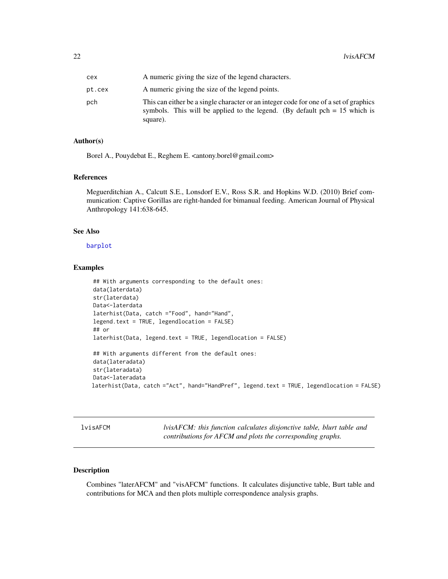<span id="page-21-0"></span>

| cex    | A numeric giving the size of the legend characters.                                                                                                                               |
|--------|-----------------------------------------------------------------------------------------------------------------------------------------------------------------------------------|
| pt.cex | A numeric giving the size of the legend points.                                                                                                                                   |
| pch    | This can either be a single character or an integer code for one of a set of graphics<br>symbols. This will be applied to the legend. (By default $pch = 15$ which is<br>square). |

#### Author(s)

Borel A., Pouydebat E., Reghem E. <antony.borel@gmail.com>

#### References

Meguerditchian A., Calcutt S.E., Lonsdorf E.V., Ross S.R. and Hopkins W.D. (2010) Brief communication: Captive Gorillas are right-handed for bimanual feeding. American Journal of Physical Anthropology 141:638-645.

#### See Also

[barplot](#page-0-0)

#### Examples

```
## With arguments corresponding to the default ones:
data(laterdata)
str(laterdata)
Data<-laterdata
laterhist(Data, catch ="Food", hand="Hand",
legend.text = TRUE, legendlocation = FALSE)
## or
laterhist(Data, legend.text = TRUE, legendlocation = FALSE)
## With arguments different from the default ones:
data(lateradata)
str(lateradata)
Data<-lateradata
laterhist(Data, catch ="Act", hand="HandPref", legend.text = TRUE, legendlocation = FALSE)
```
lvisAFCM *lvisAFCM: this function calculates disjonctive table, blurt table and contributions for AFCM and plots the corresponding graphs.*

#### Description

Combines "laterAFCM" and "visAFCM" functions. It calculates disjunctive table, Burt table and contributions for MCA and then plots multiple correspondence analysis graphs.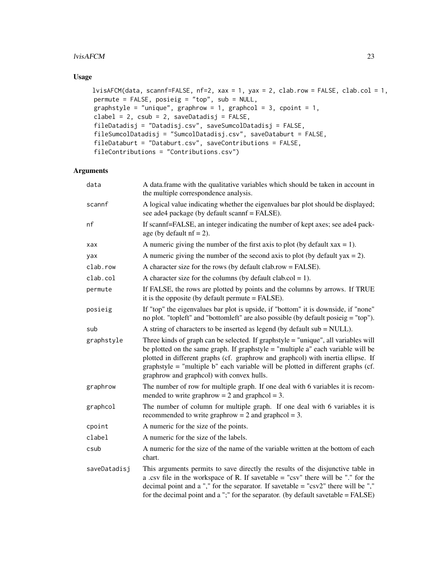#### lvisAFCM 23

#### Usage

```
lvisAFCM(data, scannf=FALSE, nf=2, xax = 1, yax = 2, clab.row = FALSE, clab.col = 1,
permute = FALSE, posieig = "top", sub = NULL,
graphstyle = "unique", graphrow = 1, graphcol = 3, cpoint = 1,
clabel = 2, csub = 2, saveDatalog = FALSE,
fileDatadisj = "Datadisj.csv", saveSumcolDatadisj = FALSE,
fileSumcolDatadisj = "SumcolDatadisj.csv", saveDataburt = FALSE,
fileDataburt = "Databurt.csv", saveContributions = FALSE,
fileContributions = "Contributions.csv")
```

| data         | A data.frame with the qualitative variables which should be taken in account in<br>the multiple correspondence analysis.                                                                                                                                                                                                                                                                      |
|--------------|-----------------------------------------------------------------------------------------------------------------------------------------------------------------------------------------------------------------------------------------------------------------------------------------------------------------------------------------------------------------------------------------------|
| scannf       | A logical value indicating whether the eigenvalues bar plot should be displayed;<br>see ade4 package (by default scannf = FALSE).                                                                                                                                                                                                                                                             |
| nf           | If scannf=FALSE, an integer indicating the number of kept axes; see ade4 pack-<br>age (by default $nf = 2$ ).                                                                                                                                                                                                                                                                                 |
| xax          | A numeric giving the number of the first axis to plot (by default $xax = 1$ ).                                                                                                                                                                                                                                                                                                                |
| yax          | A numeric giving the number of the second axis to plot (by default $yax = 2$ ).                                                                                                                                                                                                                                                                                                               |
| clab.row     | A character size for the rows (by default clab.row = FALSE).                                                                                                                                                                                                                                                                                                                                  |
| clab.col     | A character size for the columns (by default clab.col = 1).                                                                                                                                                                                                                                                                                                                                   |
| permute      | If FALSE, the rows are plotted by points and the columns by arrows. If TRUE<br>it is the opposite (by default permute $=$ FALSE).                                                                                                                                                                                                                                                             |
| posieig      | If "top" the eigenvalues bar plot is upside, if "bottom" it is downside, if "none"<br>no plot. "topleft" and "bottomleft" are also possible (by default posicig = "top").                                                                                                                                                                                                                     |
| sub          | A string of characters to be inserted as legend (by default sub = NULL).                                                                                                                                                                                                                                                                                                                      |
| graphstyle   | Three kinds of graph can be selected. If graphstyle = "unique", all variables will<br>be plotted on the same graph. If graphstyle $=$ "multiple a" each variable will be<br>plotted in different graphs (cf. graphrow and graphcol) with inertia ellipse. If<br>graphstyle = "multiple b" each variable will be plotted in different graphs (cf.<br>graphrow and graphcol) with convex hulls. |
| graphrow     | The number of row for multiple graph. If one deal with 6 variables it is recom-<br>mended to write graphrow = $2$ and graphcol = $3$ .                                                                                                                                                                                                                                                        |
| graphcol     | The number of column for multiple graph. If one deal with 6 variables it is<br>recommended to write graphrow = $2$ and graphcol = $3$ .                                                                                                                                                                                                                                                       |
| cpoint       | A numeric for the size of the points.                                                                                                                                                                                                                                                                                                                                                         |
| clabel       | A numeric for the size of the labels.                                                                                                                                                                                                                                                                                                                                                         |
| csub         | A numeric for the size of the name of the variable written at the bottom of each<br>chart.                                                                                                                                                                                                                                                                                                    |
| saveDatadisj | This arguments permits to save directly the results of the disjunctive table in<br>a .csv file in the workspace of R. If savetable $=$ "csv" there will be "." for the<br>decimal point and a "," for the separator. If savetable = " $\text{csv2}$ " there will be ","<br>for the decimal point and a ";" for the separator. (by default savetable $=$ FALSE)                                |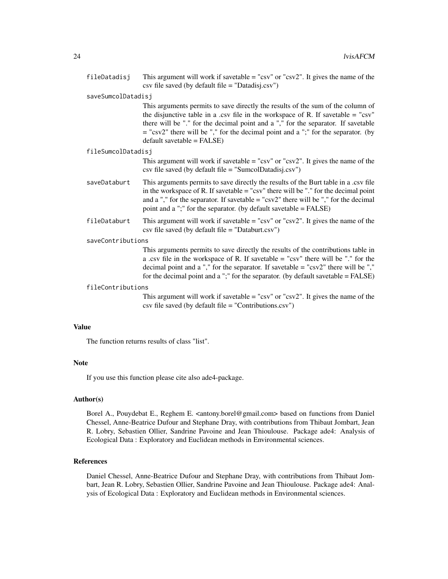fileDatadisj This argument will work if savetable  $=$  "csv" or "csv2". It gives the name of the csv file saved (by default file  $=$  "Datadisj.csv")

#### saveSumcolDatadisj

This arguments permits to save directly the results of the sum of the column of the disjunctive table in a .csv file in the workspace of R. If savetable  $=$  "csv" there will be "." for the decimal point and a "," for the separator. If savetable  $=$  "csv2" there will be "," for the decimal point and a ";" for the separator. (by default savetable = FALSE)

#### fileSumcolDatadisj

This argument will work if savetable = "csv" or "csv2". It gives the name of the csv file saved (by default file = "SumcolDatadisj.csv")

- saveDataburt This arguments permits to save directly the results of the Burt table in a .csv file in the workspace of R. If savetable  $=$  "csv" there will be "." for the decimal point and a "," for the separator. If savetable  $=$  "csv2" there will be "," for the decimal point and a ";" for the separator. (by default savetable = FALSE)
- fileDataburt This argument will work if savetable  $=$  "csv" or "csv2". It gives the name of the csv file saved (by default file = "Databurt.csv")

#### saveContributions

This arguments permits to save directly the results of the contributions table in a .csv file in the workspace of R. If savetable = "csv" there will be "." for the decimal point and a "," for the separator. If savetable  $=$  "csv2" there will be "," for the decimal point and a ";" for the separator. (by default savetable  $=$  FALSE)

#### fileContributions

This argument will work if savetable  $=$  "csv" or "csv2". It gives the name of the csv file saved (by default file = "Contributions.csv")

#### Value

The function returns results of class "list".

#### Note

If you use this function please cite also ade4-package.

#### Author(s)

Borel A., Pouydebat E., Reghem E. <antony.borel@gmail.com> based on functions from Daniel Chessel, Anne-Beatrice Dufour and Stephane Dray, with contributions from Thibaut Jombart, Jean R. Lobry, Sebastien Ollier, Sandrine Pavoine and Jean Thioulouse. Package ade4: Analysis of Ecological Data : Exploratory and Euclidean methods in Environmental sciences.

#### References

Daniel Chessel, Anne-Beatrice Dufour and Stephane Dray, with contributions from Thibaut Jombart, Jean R. Lobry, Sebastien Ollier, Sandrine Pavoine and Jean Thioulouse. Package ade4: Analysis of Ecological Data : Exploratory and Euclidean methods in Environmental sciences.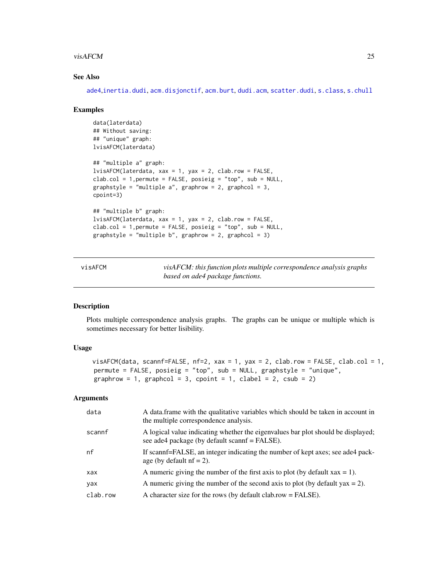#### <span id="page-24-0"></span>visAFCM 25

#### See Also

[ade4](#page-0-0),[inertia.dudi](#page-0-0), [acm.disjonctif](#page-0-0), [acm.burt](#page-0-0), [dudi.acm](#page-0-0), [scatter.dudi](#page-0-0), [s.class](#page-0-0), [s.chull](#page-0-0)

#### Examples

```
data(laterdata)
## Without saving:
## "unique" graph:
lvisAFCM(laterdata)
## "multiple a" graph:
lvisAFCM(laterdata, xax = 1, yax = 2, clab.row = FALSE,
clab.col = 1, permute = FALSE, posieig = "top", sub = NULL,
graphstyle = "multiple a", graphrow = 2, graphcol = 3,
cpoint=3)
## "multiple b" graph:
lvisAFCM(laterdata, xax = 1, yax = 2, clab.row = FALSE,
clab.col = 1,permute = FALSE, posieig = "top", sub = NULL,
graphstyle = "multiple b", graphrow = 2, graphcol = 3)
```

| visAFCM | visAFCM: this function plots multiple correspondence analysis graphs |
|---------|----------------------------------------------------------------------|
|         | based on ade4 package functions.                                     |

#### Description

Plots multiple correspondence analysis graphs. The graphs can be unique or multiple which is sometimes necessary for better lisibility.

#### Usage

```
visAFCM(data, scannf=FALSE, nf=2, xax = 1, yax = 2, clab.row = FALSE, clab.col = 1,
permute = FALSE, posieig = "top", sub = NULL, graphstyle = "unique",
graphrow = 1, graphcol = 3, cpoint = 1, clabel = 2, csub = 2)
```

| data     | A data frame with the qualitative variables which should be taken in account in<br>the multiple correspondence analysis.          |
|----------|-----------------------------------------------------------------------------------------------------------------------------------|
| scannf   | A logical value indicating whether the eigenvalues bar plot should be displayed;<br>see ade4 package (by default scannf = FALSE). |
| nf       | If scannf=FALSE, an integer indicating the number of kept axes; see ade4 pack-<br>age (by default $nf = 2$ ).                     |
| xax      | A numeric giving the number of the first axis to plot (by default $xax = 1$ ).                                                    |
| yax      | A numeric giving the number of the second axis to plot (by default $\alpha$ x = 2).                                               |
| clab.row | A character size for the rows (by default clab.row $=$ FALSE).                                                                    |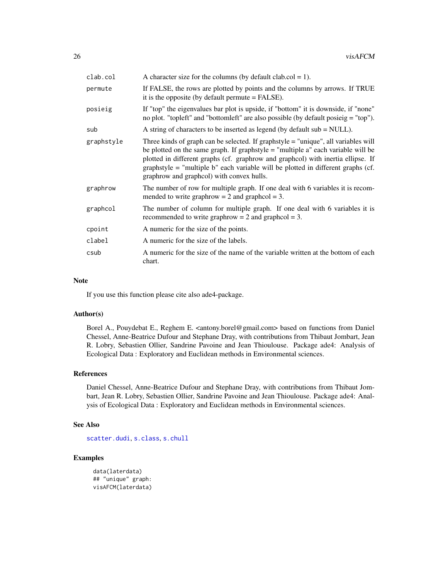<span id="page-25-0"></span>

| clab.col   | A character size for the columns (by default clab.col = 1).                                                                                                                                                                                                                                                                                                                                   |
|------------|-----------------------------------------------------------------------------------------------------------------------------------------------------------------------------------------------------------------------------------------------------------------------------------------------------------------------------------------------------------------------------------------------|
| permute    | If FALSE, the rows are plotted by points and the columns by arrows. If TRUE<br>it is the opposite (by default permute $=$ FALSE).                                                                                                                                                                                                                                                             |
| posieig    | If "top" the eigenvalues bar plot is upside, if "bottom" it is downside, if "none"<br>no plot. "topleft" and "bottomleft" are also possible (by default posicig = "top").                                                                                                                                                                                                                     |
| sub        | A string of characters to be inserted as legend (by default $sub = NULL$ ).                                                                                                                                                                                                                                                                                                                   |
| graphstyle | Three kinds of graph can be selected. If graphstyle = "unique", all variables will<br>be plotted on the same graph. If graphstyle $=$ "multiple a" each variable will be<br>plotted in different graphs (cf. graphrow and graphcol) with inertia ellipse. If<br>graphstyle = "multiple b" each variable will be plotted in different graphs (cf.<br>graphrow and graphcol) with convex hulls. |
| graphrow   | The number of row for multiple graph. If one deal with 6 variables it is recom-<br>mended to write graphrow $= 2$ and graphcol $= 3$ .                                                                                                                                                                                                                                                        |
| graphcol   | The number of column for multiple graph. If one deal with 6 variables it is<br>recommended to write graphrow $= 2$ and graphcol $= 3$ .                                                                                                                                                                                                                                                       |
| cpoint     | A numeric for the size of the points.                                                                                                                                                                                                                                                                                                                                                         |
| clabel     | A numeric for the size of the labels.                                                                                                                                                                                                                                                                                                                                                         |
| csub       | A numeric for the size of the name of the variable written at the bottom of each<br>chart.                                                                                                                                                                                                                                                                                                    |

#### **Note**

If you use this function please cite also ade4-package.

#### Author(s)

Borel A., Pouydebat E., Reghem E. <antony.borel@gmail.com> based on functions from Daniel Chessel, Anne-Beatrice Dufour and Stephane Dray, with contributions from Thibaut Jombart, Jean R. Lobry, Sebastien Ollier, Sandrine Pavoine and Jean Thioulouse. Package ade4: Analysis of Ecological Data : Exploratory and Euclidean methods in Environmental sciences.

#### References

Daniel Chessel, Anne-Beatrice Dufour and Stephane Dray, with contributions from Thibaut Jombart, Jean R. Lobry, Sebastien Ollier, Sandrine Pavoine and Jean Thioulouse. Package ade4: Analysis of Ecological Data : Exploratory and Euclidean methods in Environmental sciences.

#### See Also

[scatter.dudi](#page-0-0), [s.class](#page-0-0), [s.chull](#page-0-0)

#### Examples

```
data(laterdata)
## "unique" graph:
visAFCM(laterdata)
```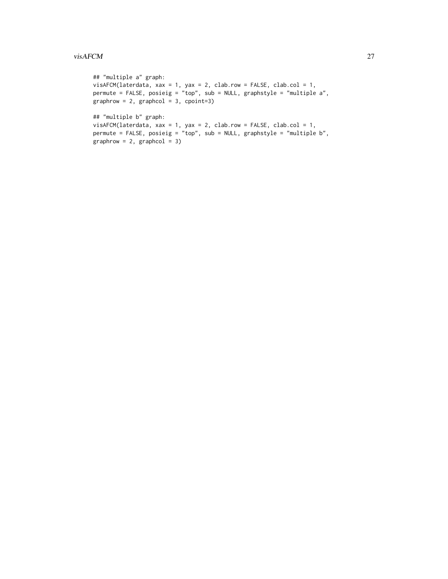```
## "multiple a" graph:
visAFCM(laterdata, xax = 1, yax = 2, clab.row = FALSE, clab.col = 1,
permute = FALSE, posieig = "top", sub = NULL, graphstyle = "multiple a",
graphrow = 2, graphcol = 3, copoint=3)## "multiple b" graph:
visAFCM(laterdata, xax = 1, yax = 2, clab.row = FALSE, clab.col = 1,
permute = FALSE, posieig = "top", sub = NULL, graphstyle = "multiple b",
graphrow = 2, graphcol = 3)
```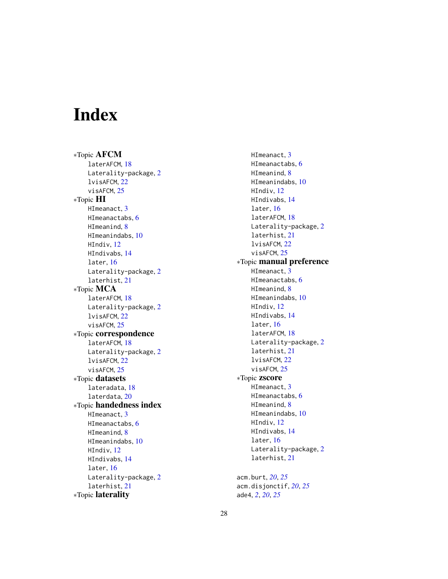# <span id="page-27-0"></span>Index

∗Topic AFCM laterAFCM, [18](#page-17-0) Laterality-package, [2](#page-1-0) lvisAFCM, [22](#page-21-0) visAFCM, [25](#page-24-0) ∗Topic HI HImeanact, [3](#page-2-0) HImeanactabs, [6](#page-5-0) HImeanind, [8](#page-7-0) HImeanindabs, [10](#page-9-0) HIndiv, [12](#page-11-0) HIndivabs, [14](#page-13-0) later, [16](#page-15-0) Laterality-package, [2](#page-1-0) laterhist, [21](#page-20-0) ∗Topic MCA laterAFCM, [18](#page-17-0) Laterality-package, [2](#page-1-0) lvisAFCM, [22](#page-21-0) visAFCM, [25](#page-24-0) ∗Topic correspondence laterAFCM, [18](#page-17-0) Laterality-package, [2](#page-1-0) lvisAFCM, [22](#page-21-0) visAFCM, [25](#page-24-0) ∗Topic datasets lateradata, [18](#page-17-0) laterdata, [20](#page-19-0) ∗Topic handedness index HImeanact, [3](#page-2-0) HImeanactabs, [6](#page-5-0) HImeanind, [8](#page-7-0) HImeanindabs, [10](#page-9-0) HIndiv, [12](#page-11-0) HIndivabs, [14](#page-13-0) later, [16](#page-15-0) Laterality-package, [2](#page-1-0) laterhist, [21](#page-20-0) ∗Topic laterality

HImeanact, [3](#page-2-0) HImeanactabs, [6](#page-5-0) HImeanind, [8](#page-7-0) HImeanindabs, [10](#page-9-0) HIndiv, [12](#page-11-0) HIndivabs, [14](#page-13-0) later, [16](#page-15-0) laterAFCM, [18](#page-17-0) Laterality-package, [2](#page-1-0) laterhist, [21](#page-20-0) lvisAFCM, [22](#page-21-0) visAFCM, [25](#page-24-0) ∗Topic manual preference HImeanact, [3](#page-2-0) HImeanactabs, [6](#page-5-0) HImeanind, [8](#page-7-0) HImeanindabs, [10](#page-9-0) HIndiv, [12](#page-11-0) HIndivabs, [14](#page-13-0) later, [16](#page-15-0) laterAFCM, [18](#page-17-0) Laterality-package, [2](#page-1-0) laterhist, [21](#page-20-0) lvisAFCM, [22](#page-21-0) visAFCM, [25](#page-24-0) ∗Topic zscore HImeanact, [3](#page-2-0) HImeanactabs, [6](#page-5-0) HImeanind, [8](#page-7-0) HImeanindabs, [10](#page-9-0) HIndiv, [12](#page-11-0) HIndivabs, [14](#page-13-0) later, [16](#page-15-0) Laterality-package, [2](#page-1-0) laterhist, [21](#page-20-0) acm.burt, *[20](#page-19-0)*, *[25](#page-24-0)*

acm.disjonctif, *[20](#page-19-0)*, *[25](#page-24-0)* ade4, *[2](#page-1-0)*, *[20](#page-19-0)*, *[25](#page-24-0)*